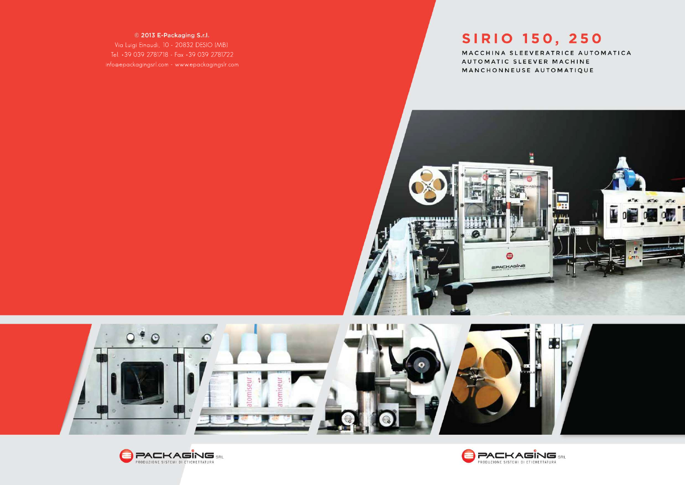## © 2013 E-Packaging S.r.l.

Via Luigi Einaudi, 10 - 20832 DESIO (MB) Tel.+390392781718-Fax+390392781722 info@epackagingsrl.com-www.epackagingslr.com



MACCHINA SLEEVERATRICE AUTOMATICA AUTOMATIC SLEEVER MACHINE MANCHONNEUSE AUTOMATIQUE







 $\bullet$ 

# SIRIO 150, 250